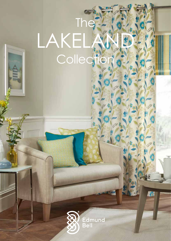# **The** LAKELAND **Collection**



**IEat**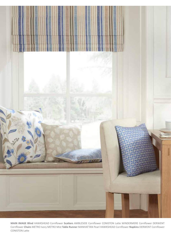

**MAIN IMAGE Blind** HAWKSHEAD Cornflower **Scatters** AMBLESIDE Cornflower CONISTON Latte WINDERMERE Cornflower DERWENT Cornflower **Chairs** METRO Ivory METRO Mist **Table Runner** MANHATTAN Pearl HAWKSHEAD Cornflower **Napkins** DERWENT Cornflower CONISTON Latte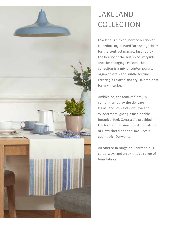### LAKELAND **COLLECTION**

Lakeland is a fresh, new collection of co-ordinating printed furnishing fabrics for the contract market. Inspired by the beauty of the British countryside and the changing seasons, the collection is a mix of contemporary, organic florals and subtle textures, creating a relaxed and stylish ambience for any interior.

Ambleside, the feature floral, is complimented by the delicate leaves and stems of Coniston and Windermere, giving a fashionable botanical feel. Contrast is provided in the form of the smart, textured stripe of Hawkshead and the small-scale geometric, Derwent.

All offered in range of 6 harmonious colourways and an extensive range of base fabrics.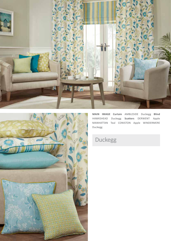



**MAIN IMAGE Curtain** AMBLESIDE Duckegg **Blind**  HAWKSHEAD Duckegg **Scatters** DERWENT Apple MANHATTAN Teal CONISTON Apple WINDERMERE Duckegg

### Duckegg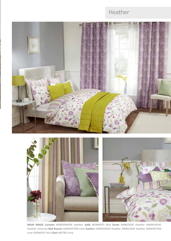#### Heather





**MAIN IMAGE Curtains** WINDERMERE Heather **Voile** MOMENTS Mist **Duvet** AMBLESIDE Heather HAWKSHEAD Heather (reverse) **Bed Runner** MANHATTAN Lime **Scatters** HAWKSHEAD Heather AMBLESIDE Heather MANHATTAN Lime DERWENT Fern **Chair** METRO Ivory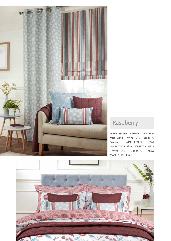

#### Raspberry

**MAIN IMAGE Curtain** CONISTON Mist **Blind** HAWKSHEAD Raspberry **Scatters** WINDERMERE Mist MANHATTAN Plum CONISTON Mist/ HAWKSHEAD Raspberry **Throw** MANHATTAN Plum

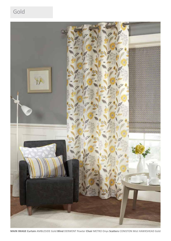#### Gold



**MAIN IMAGE Curtain** AMBLESIDE Gold **Blind** DERWENT Pewter **Chair** METRO Onyx **Scatters** CONISTON Mist HAWKSHEAD Gold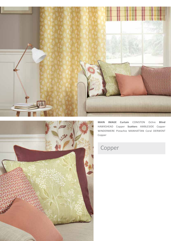



**MAIN IMAGE Curtain** CONISTON Ochre **Blind**  HAWKSHEAD Copper **Scatters** AMBLESIDE Copper WINDERMERE Pistachio MANHATTAN Coral DERWENT Copper

#### Copper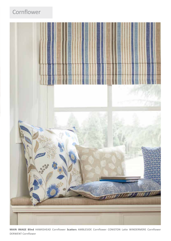#### **Cornflower**



**MAIN IMAGE Blind** HAWKSHEAD Cornflower **Scatters** AMBLESIDE Cornflower CONISTON Latte WINDERMERE Cornflower DERWENT Cornflower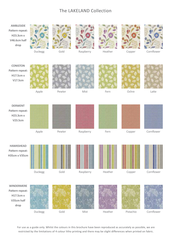#### The LAKELAND Collection



For use as a guide only. Whilst the colours in this brochure have been reproduced as accurately as possible, we are restricted by the limitations of 4 colour litho printing and there may be slight differences when printed on fabric.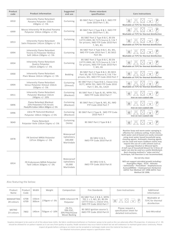| Product<br>code | <b>Product information</b>                                                                   | Suggested<br>end use                              | <b>Flame retardant</b><br>specification                                                                                      | Care instructions                                                                                                                                                                                                                                                                                                                                                                                                                                                       |  |
|-----------------|----------------------------------------------------------------------------------------------|---------------------------------------------------|------------------------------------------------------------------------------------------------------------------------------|-------------------------------------------------------------------------------------------------------------------------------------------------------------------------------------------------------------------------------------------------------------------------------------------------------------------------------------------------------------------------------------------------------------------------------------------------------------------------|--|
| 6910            | Inherently Flame Retardant<br>Panama Polyester 150cm<br>240gms $+/- 5%$                      | Curtaining                                        | BS 5867 Part 2 Type B & C, IMO FTP<br>Code 2010 Part 7, B1.                                                                  | 40<br>Washable at 71ºC for thermal disinfection                                                                                                                                                                                                                                                                                                                                                                                                                         |  |
| 6999            | Mezzo Inherently FR Brushed Panama<br>Polyester 150cm 240gms +/-5%                           | Curtaining                                        | BS 5867 Part 2 Type B & C, IMO FTP<br>Code 2010 Part 7, B1.                                                                  | 40<br>Washable at 71ºC for thermal disinfection                                                                                                                                                                                                                                                                                                                                                                                                                         |  |
| 6913            | Inherently Flame Retardant<br>Satin Polyester 142cm 220gms +/- 5%                            | Curtaining                                        | BS 5867 Part 2 Type B & C, BS EN<br>13773 2003, BS 7175 Source 0, 5 & 7<br>for prisons, IMO FTP Code 2010 Part<br>7, M1, B1. | 40<br>Washable at 71ºC for thermal disinfection                                                                                                                                                                                                                                                                                                                                                                                                                         |  |
| 6994            | Inherently Flame Retardant<br>Trevira CS Polyester Nimbus<br>Soft 140cm 230gms +/- 5%        | Curtaining                                        | BS 5867 Part 2 Type B & C, B1, M1,<br>IMO FTP Code 2010 Part 7, BS 5815<br>Part 3G.                                          | 40<br>Washable at 71ºC for thermal disinfection                                                                                                                                                                                                                                                                                                                                                                                                                         |  |
| 6934            | Inherently Flame Retardant<br>Quatro Polyester<br>142cm 220gms +/- 5%                        | Curtaining                                        | BS 5867 Part 2 Type B & C, BS EN<br>13773 2003, BS 7175 Source 0, 5 & 7<br>for prisons, IMO FTP Code 2010 Part<br>7, M1, B1  | 40<br>Washable at 71ºC for thermal disinfection                                                                                                                                                                                                                                                                                                                                                                                                                         |  |
| 6900            | Inherently Flame Retardant<br>Plain Weave 142cm 145gms +/- 5%                                | Bedding                                           | BS 5867 Part 2 Type B & C, BS 5815<br>Part 3G, BS 7175 Source 0, 5 & 7 for<br>prisons, M1, IMO FTP Code 2010 Part 7          | 40<br>Washable at 71ºC for thermal disinfection                                                                                                                                                                                                                                                                                                                                                                                                                         |  |
| 6904            | Inherently Flame Retardant<br>Venus Polyester Dimout 150cm<br>$250gms +/- 5%$                | Curtaining<br>(Dimout)                            | BS 5867 Part 2 Type B & C, Classe Uno<br>9177, NFPA 701, IMO FTP Code 2010<br>Part 7, M1, B1, CA19                           | 40<br>Washable at 71ºC for thermal disinfection                                                                                                                                                                                                                                                                                                                                                                                                                         |  |
| 6911            | Inherently Flame Retardant<br>Polyester Blackout 142cm<br>240gms $+/- 10%$                   | Curtaining<br>(Blackout)                          | BS 5867 Part 2 Type B, B1, NFPA 701,<br>IMO FTP Code 2010 Part 7                                                             | 40<br>Iron on non-coated side                                                                                                                                                                                                                                                                                                                                                                                                                                           |  |
| 6896            | Flame Retardant Blackout<br>25% Polyester/71% Acrylic<br>Flock/4% Cotton 140cm 300gms +/- 5% | Curtaining<br>(Blackout)                          | BS 5867 Part 2 Type B, M1, B1, IMO<br>FTP Code 2010 Part 7                                                                   | 30<br>Iron on non-coated side                                                                                                                                                                                                                                                                                                                                                                                                                                           |  |
| 6996            | Libra FR Textured Blackout<br>Polyester 140cm 310gms +/-5%                                   | Curtaining<br>(Blackout)                          | BS 5867 Part 2 Type B, IMO FTP Code<br>2010 Part 7                                                                           | 40<br>Iron on non-coated side                                                                                                                                                                                                                                                                                                                                                                                                                                           |  |
| 9049            | Flame Retardant<br>Polyester Voile 150cm 55gms +/- 5%                                        | Curtaining<br>(Voile)                             | BS 5867 Part 2 Type B & C                                                                                                    |                                                                                                                                                                                                                                                                                                                                                                                                                                                                         |  |
| 6978            | FR Sentinel MRSA Polyester<br>137cm 350gms +/- 5%                                            | Waterproof<br>Upholstery<br>100,000<br>Martindale | BS 5852 Crib 5,<br>IMO FTP Code 2010 Part 8                                                                                  | Routine Soap and warm water sponging is<br>effective for ordinary soiling. Fresh stains,<br>both water and oil based are easily removed<br>using most water based household spray<br>cleaning agents. Antiseptic cleaning agents<br>can be used and more stubborn stains may<br>require the use of a safe solvent such as<br>Isopropyl Alcohol or Mineral Spirit.<br>A half cup of household bleach for 5 litres of<br>water can also be used as a useful disinfectant. |  |
| 6914            | FR Enduracare MRSA Polyester<br>Twill 140cm 350gms +/- 5%                                    | Waterproof<br>Upholstery<br>50,000<br>Martindale  | BS 5852 Crib 5,<br>IMO FTP Code 2010 Part 8                                                                                  | Best cleaning method is "wipe and dry"<br>technique, full imersion is not recommended.<br>Do not dry clean<br>Will not support microbial growth including:-<br>Aspergillus Niger - EColi - Altinata<br>- Salmonella - Penicilliam - Staphylococcus<br>Aureus(MRSA) – Cladosporium Herbarism<br>AATCC Test Method 147 1998 AATCC Test<br>Method 30 1998.                                                                                                                 |  |

Also featuring the below:

| Product<br>Name                | Product<br>Code | Width          | Weight           | Composition                                             | Fire Standards                                                                                                   | Care Instructions                                                     | Additional<br>Information                       |
|--------------------------------|-----------------|----------------|------------------|---------------------------------------------------------|------------------------------------------------------------------------------------------------------------------|-----------------------------------------------------------------------|-------------------------------------------------|
| <b>MANHATTAN</b><br>28 colours | 6708<br>6709    | 150cm<br>300cm | $270$ gsm +/- 5% | 100% Inherent FR<br>Polyester                           | BS 5867 Part 2 B & C, NFPA<br>701 1 + 2, M1, B1, BS EN<br>13773 Class 1, Classe Uno,<br>IMO FTP Code 2010 Part 7 | $\mathbb{Z} \times \mathbb{Z}$<br>$\circled{P}$                       | Washable at<br>71ºC for thermal<br>disinfection |
| <b>METRO</b><br>23 colours     | 7802            | 140cm          | 750gsm +/- 10%   | 2% PU,<br>78% PVC,<br>20% Poly/Viscose<br>Woven Backing | BS 5852 Ignition source 5,<br>IMO FTP Code 2010 Part 8                                                           | Please request a<br>specification sheet for<br>detailed instructions. | Anti-Microbial                                  |

Soapless detergent to be used on all of the above base cloths. No fabric conditioners/softeners or freshener sprays to be used as this can adversely affect FR properties. A tolerance of +/- 3% should be allowed for on pattern repeats as it can vary from quality to quality. Shade variations may occur batch to batch but we will endeavour to maintain good colour continuity. Please inspect all goods before cutting as no claims can be accepted or exchanges made once the material has been cut. For detailed instructions please request a specification sheet.